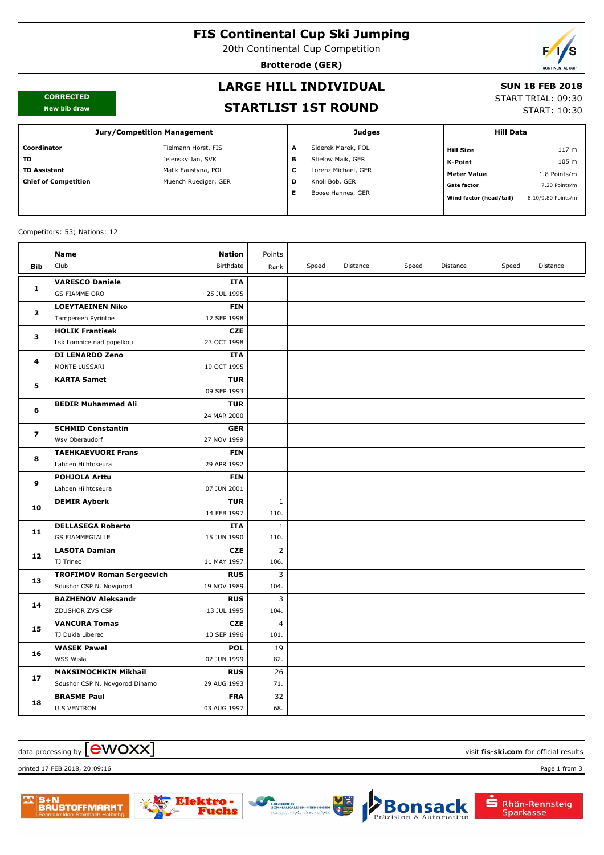# **FIS Continental Cup Ski Jumping**

20th Continental Cup Competition

**Brotterode (GER)**

#### **CORRECTED New bib draw**

# **LARGE HILL INDIVIDUAL**

## **SUN 18 FEB 2018**

START TRIAL: 09:30

START: 10:30

| New bib draw                |                                    |   | <b>STARTLIST 1ST ROUND</b> |                         | JIANI INIAL. VJ.J<br><b>START: 10:3</b> |  |  |
|-----------------------------|------------------------------------|---|----------------------------|-------------------------|-----------------------------------------|--|--|
|                             | <b>Jury/Competition Management</b> |   | <b>Judges</b>              | <b>Hill Data</b>        |                                         |  |  |
| Coordinator                 | Tielmann Horst, FIS                | A | Siderek Marek, POL         | Hill Size               | 117 m                                   |  |  |
| <b>TD</b>                   | Jelensky Jan, SVK                  | в | Stielow Maik, GER          | K-Point                 | 105 m                                   |  |  |
| <b>TD Assistant</b>         | Malik Faustyna, POL                | с | Lorenz Michael, GER        | <b>Meter Value</b>      | 1.8 Points/m                            |  |  |
| <b>Chief of Competition</b> | Muench Ruediger, GER               | D | Knoll Bob, GER             | <b>Gate factor</b>      | 7.20 Points/m                           |  |  |
|                             |                                    | Е | Boose Hannes, GER          | Wind factor (head/tail) | 8.10/9.80 Points/m                      |  |  |

#### Competitors: 53; Nations: 12

| Club<br>Birthdate<br>Bib<br>Speed<br>Distance<br>Speed<br>Distance<br>Speed<br>Distance<br>Rank<br><b>VARESCO Daniele</b><br>ITA<br>1<br><b>GS FIAMME ORO</b><br>25 JUL 1995<br><b>LOEYTAEINEN Niko</b><br><b>FIN</b><br>$\overline{2}$<br>12 SEP 1998<br>Tampereen Pyrintoe<br><b>CZE</b><br><b>HOLIK Frantisek</b><br>3<br>23 OCT 1998<br>Lsk Lomnice nad popelkou<br><b>DI LENARDO Zeno</b><br><b>ITA</b><br>4<br>MONTE LUSSARI<br>19 OCT 1995<br><b>KARTA Samet</b><br><b>TUR</b><br>5<br>09 SEP 1993<br><b>TUR</b><br><b>BEDIR Muhammed Ali</b><br>6<br>24 MAR 2000<br><b>SCHMID Constantin</b><br><b>GER</b><br>7<br>Wsv Oberaudorf<br>27 NOV 1999<br><b>TAEHKAEVUORI Frans</b><br><b>FIN</b><br>8<br>29 APR 1992<br>Lahden Hiihtoseura<br><b>POHJOLA Arttu</b><br><b>FIN</b><br>9<br>Lahden Hiihtoseura<br>07 JUN 2001<br><b>TUR</b><br>$\mathbf{1}$<br><b>DEMIR Ayberk</b><br>10<br>14 FEB 1997<br>110.<br><b>DELLASEGA Roberto</b><br><b>ITA</b><br>1<br>11<br><b>GS FIAMMEGIALLE</b><br>15 JUN 1990<br>110.<br><b>LASOTA Damian</b><br>$\overline{2}$<br><b>CZE</b><br>12<br>TJ Trinec<br>11 MAY 1997<br>106.<br>3<br><b>TROFIMOV Roman Sergeevich</b><br><b>RUS</b><br>13<br>19 NOV 1989<br>104.<br>Sdushor CSP N. Novgorod<br><b>BAZHENOV Aleksandr</b><br><b>RUS</b><br>3<br>14<br>ZDUSHOR ZVS CSP<br>13 JUL 1995<br>104.<br><b>VANCURA Tomas</b><br><b>CZE</b><br>$\overline{4}$<br>15<br>10 SEP 1996<br>101.<br>TJ Dukla Liberec<br><b>POL</b><br>19<br><b>WASEK Pawel</b><br>16<br>82.<br>WSS Wisla<br>02 JUN 1999<br><b>MAKSIMOCHKIN Mikhail</b><br><b>RUS</b><br>26<br>17<br>Sdushor CSP N. Novgorod Dinamo<br>29 AUG 1993<br>71.<br><b>FRA</b><br>32<br><b>BRASME Paul</b><br>18<br><b>U.S VENTRON</b><br>03 AUG 1997<br>68. |  | <b>Name</b> | <b>Nation</b> | Points |  |  |  |
|-------------------------------------------------------------------------------------------------------------------------------------------------------------------------------------------------------------------------------------------------------------------------------------------------------------------------------------------------------------------------------------------------------------------------------------------------------------------------------------------------------------------------------------------------------------------------------------------------------------------------------------------------------------------------------------------------------------------------------------------------------------------------------------------------------------------------------------------------------------------------------------------------------------------------------------------------------------------------------------------------------------------------------------------------------------------------------------------------------------------------------------------------------------------------------------------------------------------------------------------------------------------------------------------------------------------------------------------------------------------------------------------------------------------------------------------------------------------------------------------------------------------------------------------------------------------------------------------------------------------------------------------------------------------------------------------------------------------------------------------------|--|-------------|---------------|--------|--|--|--|
|                                                                                                                                                                                                                                                                                                                                                                                                                                                                                                                                                                                                                                                                                                                                                                                                                                                                                                                                                                                                                                                                                                                                                                                                                                                                                                                                                                                                                                                                                                                                                                                                                                                                                                                                                 |  |             |               |        |  |  |  |
|                                                                                                                                                                                                                                                                                                                                                                                                                                                                                                                                                                                                                                                                                                                                                                                                                                                                                                                                                                                                                                                                                                                                                                                                                                                                                                                                                                                                                                                                                                                                                                                                                                                                                                                                                 |  |             |               |        |  |  |  |
|                                                                                                                                                                                                                                                                                                                                                                                                                                                                                                                                                                                                                                                                                                                                                                                                                                                                                                                                                                                                                                                                                                                                                                                                                                                                                                                                                                                                                                                                                                                                                                                                                                                                                                                                                 |  |             |               |        |  |  |  |
|                                                                                                                                                                                                                                                                                                                                                                                                                                                                                                                                                                                                                                                                                                                                                                                                                                                                                                                                                                                                                                                                                                                                                                                                                                                                                                                                                                                                                                                                                                                                                                                                                                                                                                                                                 |  |             |               |        |  |  |  |
|                                                                                                                                                                                                                                                                                                                                                                                                                                                                                                                                                                                                                                                                                                                                                                                                                                                                                                                                                                                                                                                                                                                                                                                                                                                                                                                                                                                                                                                                                                                                                                                                                                                                                                                                                 |  |             |               |        |  |  |  |
|                                                                                                                                                                                                                                                                                                                                                                                                                                                                                                                                                                                                                                                                                                                                                                                                                                                                                                                                                                                                                                                                                                                                                                                                                                                                                                                                                                                                                                                                                                                                                                                                                                                                                                                                                 |  |             |               |        |  |  |  |
|                                                                                                                                                                                                                                                                                                                                                                                                                                                                                                                                                                                                                                                                                                                                                                                                                                                                                                                                                                                                                                                                                                                                                                                                                                                                                                                                                                                                                                                                                                                                                                                                                                                                                                                                                 |  |             |               |        |  |  |  |
|                                                                                                                                                                                                                                                                                                                                                                                                                                                                                                                                                                                                                                                                                                                                                                                                                                                                                                                                                                                                                                                                                                                                                                                                                                                                                                                                                                                                                                                                                                                                                                                                                                                                                                                                                 |  |             |               |        |  |  |  |
|                                                                                                                                                                                                                                                                                                                                                                                                                                                                                                                                                                                                                                                                                                                                                                                                                                                                                                                                                                                                                                                                                                                                                                                                                                                                                                                                                                                                                                                                                                                                                                                                                                                                                                                                                 |  |             |               |        |  |  |  |
|                                                                                                                                                                                                                                                                                                                                                                                                                                                                                                                                                                                                                                                                                                                                                                                                                                                                                                                                                                                                                                                                                                                                                                                                                                                                                                                                                                                                                                                                                                                                                                                                                                                                                                                                                 |  |             |               |        |  |  |  |
|                                                                                                                                                                                                                                                                                                                                                                                                                                                                                                                                                                                                                                                                                                                                                                                                                                                                                                                                                                                                                                                                                                                                                                                                                                                                                                                                                                                                                                                                                                                                                                                                                                                                                                                                                 |  |             |               |        |  |  |  |
|                                                                                                                                                                                                                                                                                                                                                                                                                                                                                                                                                                                                                                                                                                                                                                                                                                                                                                                                                                                                                                                                                                                                                                                                                                                                                                                                                                                                                                                                                                                                                                                                                                                                                                                                                 |  |             |               |        |  |  |  |
|                                                                                                                                                                                                                                                                                                                                                                                                                                                                                                                                                                                                                                                                                                                                                                                                                                                                                                                                                                                                                                                                                                                                                                                                                                                                                                                                                                                                                                                                                                                                                                                                                                                                                                                                                 |  |             |               |        |  |  |  |
|                                                                                                                                                                                                                                                                                                                                                                                                                                                                                                                                                                                                                                                                                                                                                                                                                                                                                                                                                                                                                                                                                                                                                                                                                                                                                                                                                                                                                                                                                                                                                                                                                                                                                                                                                 |  |             |               |        |  |  |  |
|                                                                                                                                                                                                                                                                                                                                                                                                                                                                                                                                                                                                                                                                                                                                                                                                                                                                                                                                                                                                                                                                                                                                                                                                                                                                                                                                                                                                                                                                                                                                                                                                                                                                                                                                                 |  |             |               |        |  |  |  |
|                                                                                                                                                                                                                                                                                                                                                                                                                                                                                                                                                                                                                                                                                                                                                                                                                                                                                                                                                                                                                                                                                                                                                                                                                                                                                                                                                                                                                                                                                                                                                                                                                                                                                                                                                 |  |             |               |        |  |  |  |
|                                                                                                                                                                                                                                                                                                                                                                                                                                                                                                                                                                                                                                                                                                                                                                                                                                                                                                                                                                                                                                                                                                                                                                                                                                                                                                                                                                                                                                                                                                                                                                                                                                                                                                                                                 |  |             |               |        |  |  |  |
|                                                                                                                                                                                                                                                                                                                                                                                                                                                                                                                                                                                                                                                                                                                                                                                                                                                                                                                                                                                                                                                                                                                                                                                                                                                                                                                                                                                                                                                                                                                                                                                                                                                                                                                                                 |  |             |               |        |  |  |  |
|                                                                                                                                                                                                                                                                                                                                                                                                                                                                                                                                                                                                                                                                                                                                                                                                                                                                                                                                                                                                                                                                                                                                                                                                                                                                                                                                                                                                                                                                                                                                                                                                                                                                                                                                                 |  |             |               |        |  |  |  |
|                                                                                                                                                                                                                                                                                                                                                                                                                                                                                                                                                                                                                                                                                                                                                                                                                                                                                                                                                                                                                                                                                                                                                                                                                                                                                                                                                                                                                                                                                                                                                                                                                                                                                                                                                 |  |             |               |        |  |  |  |
|                                                                                                                                                                                                                                                                                                                                                                                                                                                                                                                                                                                                                                                                                                                                                                                                                                                                                                                                                                                                                                                                                                                                                                                                                                                                                                                                                                                                                                                                                                                                                                                                                                                                                                                                                 |  |             |               |        |  |  |  |
|                                                                                                                                                                                                                                                                                                                                                                                                                                                                                                                                                                                                                                                                                                                                                                                                                                                                                                                                                                                                                                                                                                                                                                                                                                                                                                                                                                                                                                                                                                                                                                                                                                                                                                                                                 |  |             |               |        |  |  |  |
|                                                                                                                                                                                                                                                                                                                                                                                                                                                                                                                                                                                                                                                                                                                                                                                                                                                                                                                                                                                                                                                                                                                                                                                                                                                                                                                                                                                                                                                                                                                                                                                                                                                                                                                                                 |  |             |               |        |  |  |  |
|                                                                                                                                                                                                                                                                                                                                                                                                                                                                                                                                                                                                                                                                                                                                                                                                                                                                                                                                                                                                                                                                                                                                                                                                                                                                                                                                                                                                                                                                                                                                                                                                                                                                                                                                                 |  |             |               |        |  |  |  |
|                                                                                                                                                                                                                                                                                                                                                                                                                                                                                                                                                                                                                                                                                                                                                                                                                                                                                                                                                                                                                                                                                                                                                                                                                                                                                                                                                                                                                                                                                                                                                                                                                                                                                                                                                 |  |             |               |        |  |  |  |
|                                                                                                                                                                                                                                                                                                                                                                                                                                                                                                                                                                                                                                                                                                                                                                                                                                                                                                                                                                                                                                                                                                                                                                                                                                                                                                                                                                                                                                                                                                                                                                                                                                                                                                                                                 |  |             |               |        |  |  |  |
|                                                                                                                                                                                                                                                                                                                                                                                                                                                                                                                                                                                                                                                                                                                                                                                                                                                                                                                                                                                                                                                                                                                                                                                                                                                                                                                                                                                                                                                                                                                                                                                                                                                                                                                                                 |  |             |               |        |  |  |  |
|                                                                                                                                                                                                                                                                                                                                                                                                                                                                                                                                                                                                                                                                                                                                                                                                                                                                                                                                                                                                                                                                                                                                                                                                                                                                                                                                                                                                                                                                                                                                                                                                                                                                                                                                                 |  |             |               |        |  |  |  |
|                                                                                                                                                                                                                                                                                                                                                                                                                                                                                                                                                                                                                                                                                                                                                                                                                                                                                                                                                                                                                                                                                                                                                                                                                                                                                                                                                                                                                                                                                                                                                                                                                                                                                                                                                 |  |             |               |        |  |  |  |
|                                                                                                                                                                                                                                                                                                                                                                                                                                                                                                                                                                                                                                                                                                                                                                                                                                                                                                                                                                                                                                                                                                                                                                                                                                                                                                                                                                                                                                                                                                                                                                                                                                                                                                                                                 |  |             |               |        |  |  |  |
|                                                                                                                                                                                                                                                                                                                                                                                                                                                                                                                                                                                                                                                                                                                                                                                                                                                                                                                                                                                                                                                                                                                                                                                                                                                                                                                                                                                                                                                                                                                                                                                                                                                                                                                                                 |  |             |               |        |  |  |  |
|                                                                                                                                                                                                                                                                                                                                                                                                                                                                                                                                                                                                                                                                                                                                                                                                                                                                                                                                                                                                                                                                                                                                                                                                                                                                                                                                                                                                                                                                                                                                                                                                                                                                                                                                                 |  |             |               |        |  |  |  |
|                                                                                                                                                                                                                                                                                                                                                                                                                                                                                                                                                                                                                                                                                                                                                                                                                                                                                                                                                                                                                                                                                                                                                                                                                                                                                                                                                                                                                                                                                                                                                                                                                                                                                                                                                 |  |             |               |        |  |  |  |
|                                                                                                                                                                                                                                                                                                                                                                                                                                                                                                                                                                                                                                                                                                                                                                                                                                                                                                                                                                                                                                                                                                                                                                                                                                                                                                                                                                                                                                                                                                                                                                                                                                                                                                                                                 |  |             |               |        |  |  |  |
|                                                                                                                                                                                                                                                                                                                                                                                                                                                                                                                                                                                                                                                                                                                                                                                                                                                                                                                                                                                                                                                                                                                                                                                                                                                                                                                                                                                                                                                                                                                                                                                                                                                                                                                                                 |  |             |               |        |  |  |  |
|                                                                                                                                                                                                                                                                                                                                                                                                                                                                                                                                                                                                                                                                                                                                                                                                                                                                                                                                                                                                                                                                                                                                                                                                                                                                                                                                                                                                                                                                                                                                                                                                                                                                                                                                                 |  |             |               |        |  |  |  |

# $\alpha$  data processing by  $\boxed{\text{ewOX}}$

printed 17 FEB 2018, 20:09:16 Page 1 from 3







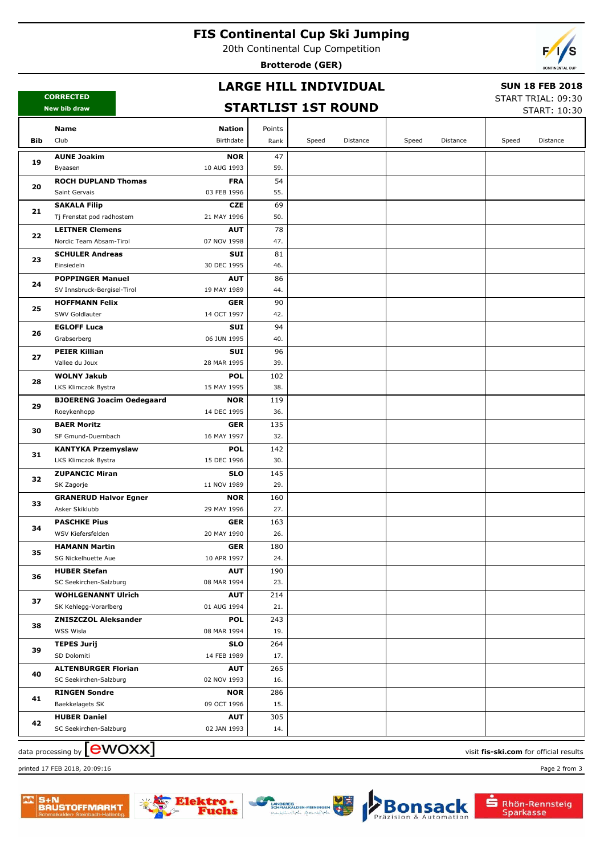## **FIS Continental Cup Ski Jumping**

20th Continental Cup Competition

**Brotterode (GER)**



## **LARGE HILL INDIVIDUAL**

### **SUN 18 FEB 2018**

**CORRECTED New bib draw**

# **STARTLIST 1ST ROUND**

START TRIAL: 09:30  $STAPT: 10:30$ 

|     |                                           |                           |            |       |          |       |          |       | JIANI, 10, JU |
|-----|-------------------------------------------|---------------------------|------------|-------|----------|-------|----------|-------|---------------|
|     | Name                                      | <b>Nation</b>             | Points     |       |          |       |          |       |               |
| Bib | Club                                      | Birthdate                 | Rank       | Speed | Distance | Speed | Distance | Speed | Distance      |
|     | <b>AUNE Joakim</b>                        | <b>NOR</b>                | 47         |       |          |       |          |       |               |
| 19  | Byaasen                                   | 10 AUG 1993               | 59.        |       |          |       |          |       |               |
|     | <b>ROCH DUPLAND Thomas</b>                | <b>FRA</b>                | 54         |       |          |       |          |       |               |
| 20  | Saint Gervais                             | 03 FEB 1996               | 55.        |       |          |       |          |       |               |
|     | <b>SAKALA Filip</b>                       | <b>CZE</b>                | 69         |       |          |       |          |       |               |
| 21  | Tj Frenstat pod radhostem                 | 21 MAY 1996               | 50.        |       |          |       |          |       |               |
| 22  | <b>LEITNER Clemens</b>                    | <b>AUT</b>                | 78         |       |          |       |          |       |               |
|     | Nordic Team Absam-Tirol                   | 07 NOV 1998               | 47.        |       |          |       |          |       |               |
| 23  | <b>SCHULER Andreas</b>                    | SUI                       | 81         |       |          |       |          |       |               |
|     | Einsiedeln                                | 30 DEC 1995               | 46.        |       |          |       |          |       |               |
| 24  | <b>POPPINGER Manuel</b>                   | <b>AUT</b>                | 86         |       |          |       |          |       |               |
|     | SV Innsbruck-Bergisel-Tirol               | 19 MAY 1989               | 44.        |       |          |       |          |       |               |
| 25  | <b>HOFFMANN Felix</b>                     | <b>GER</b>                | 90         |       |          |       |          |       |               |
|     | SWV Goldlauter                            | 14 OCT 1997               | 42.        |       |          |       |          |       |               |
| 26  | <b>EGLOFF Luca</b>                        | SUI                       | 94         |       |          |       |          |       |               |
|     | Grabserberg                               | 06 JUN 1995               | 40.        |       |          |       |          |       |               |
| 27  | <b>PEIER Killian</b>                      | SUI                       | 96         |       |          |       |          |       |               |
|     | Vallee du Joux                            | 28 MAR 1995               | 39.        |       |          |       |          |       |               |
| 28  | <b>WOLNY Jakub</b><br>LKS Klimczok Bystra | <b>POL</b><br>15 MAY 1995 | 102<br>38. |       |          |       |          |       |               |
|     | <b>BJOERENG Joacim Oedegaard</b>          | <b>NOR</b>                | 119        |       |          |       |          |       |               |
| 29  | Roeykenhopp                               | 14 DEC 1995               | 36.        |       |          |       |          |       |               |
|     | <b>BAER Moritz</b>                        | <b>GER</b>                | 135        |       |          |       |          |       |               |
| 30  | SF Gmund-Duernbach                        | 16 MAY 1997               | 32.        |       |          |       |          |       |               |
|     | <b>KANTYKA Przemyslaw</b>                 | <b>POL</b>                | 142        |       |          |       |          |       |               |
| 31  | LKS Klimczok Bystra                       | 15 DEC 1996               | 30.        |       |          |       |          |       |               |
|     | <b>ZUPANCIC Miran</b>                     | <b>SLO</b>                | 145        |       |          |       |          |       |               |
| 32  | SK Zagorje                                | 11 NOV 1989               | 29.        |       |          |       |          |       |               |
|     | <b>GRANERUD Halvor Egner</b>              | <b>NOR</b>                | 160        |       |          |       |          |       |               |
| 33  | Asker Skiklubb                            | 29 MAY 1996               | 27.        |       |          |       |          |       |               |
|     | <b>PASCHKE Pius</b>                       | <b>GER</b>                | 163        |       |          |       |          |       |               |
| 34  | WSV Kiefersfelden                         | 20 MAY 1990               | 26.        |       |          |       |          |       |               |
| 35  | <b>HAMANN Martin</b>                      | <b>GER</b>                | 180        |       |          |       |          |       |               |
|     | SG Nickelhuette Aue                       | 10 APR 1997               | 24.        |       |          |       |          |       |               |
| 36  | <b>HUBER Stefan</b>                       | <b>AUT</b>                | 190        |       |          |       |          |       |               |
|     | SC Seekirchen-Salzburg                    | 08 MAR 1994               | 23.        |       |          |       |          |       |               |
| 37  | <b>WOHLGENANNT Ulrich</b>                 | <b>AUT</b>                | 214        |       |          |       |          |       |               |
|     | SK Kehlegg-Vorarlberg                     | 01 AUG 1994               | 21.        |       |          |       |          |       |               |
| 38  | <b>ZNISZCZOL Aleksander</b>               | <b>POL</b>                | 243        |       |          |       |          |       |               |
|     | WSS Wisla                                 | 08 MAR 1994               | 19.        |       |          |       |          |       |               |
| 39  | <b>TEPES Jurij</b>                        | <b>SLO</b>                | 264        |       |          |       |          |       |               |
| 40  | SD Dolomiti                               | 14 FEB 1989               | 17.        |       |          |       |          |       |               |
|     | <b>ALTENBURGER Florian</b>                | <b>AUT</b><br>02 NOV 1993 | 265<br>16. |       |          |       |          |       |               |
|     | SC Seekirchen-Salzburg                    | <b>NOR</b>                |            |       |          |       |          |       |               |
| 41  | <b>RINGEN Sondre</b><br>Baekkelagets SK   | 09 OCT 1996               | 286<br>15. |       |          |       |          |       |               |
|     | <b>HUBER Daniel</b>                       | <b>AUT</b>                | 305        |       |          |       |          |       |               |
| 42  | SC Seekirchen-Salzburg                    | 02 JAN 1993               | 14.        |       |          |       |          |       |               |
|     |                                           |                           |            |       |          |       |          |       |               |

data processing by **CWOXX** and  $\overline{C}$  and  $\overline{C}$  and  $\overline{C}$  and  $\overline{C}$  and  $\overline{C}$  and  $\overline{C}$  and  $\overline{C}$  and  $\overline{C}$  and  $\overline{C}$  and  $\overline{C}$  and  $\overline{C}$  and  $\overline{C}$  and  $\overline{C}$  and  $\overline{C}$  and  $\overline{C}$  printed 17 FEB 2018, 20:09:16 Page 2 from 3